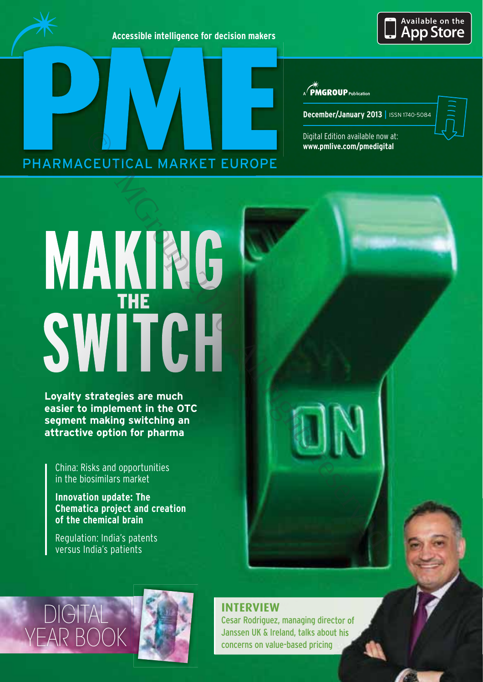**Accessible intelligence for decision makers**

## Available on the **App Store**

 $\mathcal{A}$  **PMGROUP** Publication

**December/January 2013 |** ISSN 1740-5084

Digital Edition available now at: **www.pmlive.com/pmedigital**

# PHARMACEUTICAL MARKET EUROPE

# **WAKING**<br>SWITCH

**Loyalty strategies are much segment making switching an** attractive ontion for pharma **attractive option for pharma**

China: Risks and opportunities in the biosimilars market

**Innovation update: The Chematica project and creation of the chemical brain** 

Regulation: India's patents versus India's patients

# **DIGITA** YEAR BOOK



# **INTERVIEW**

Cesar Rodriguez, managing director of Janssen UK & Ireland, talks about his concerns on value-based pricing